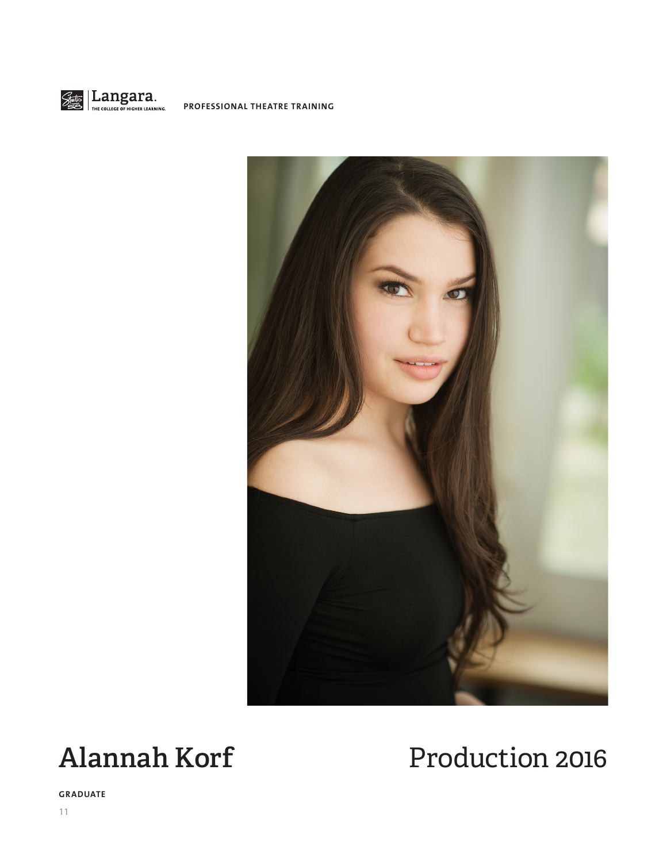

**PROFESSIONAL THEATRE TRAINING**



# Alannah Korf Production 2016

**GRADUATE**